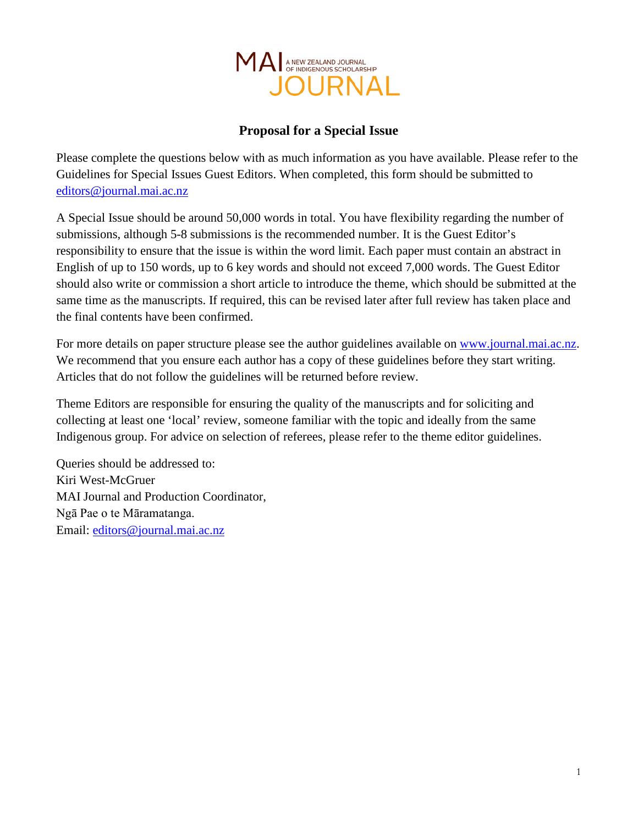

# **Proposal for a Special Issue**

Please complete the questions below with as much information as you have available. Please refer to the Guidelines for Special Issues Guest Editors. When completed, this form should be submitted to [editors@journal.mai.ac.nz](mailto:editors@journal.mai.ac.nz)

A Special Issue should be around 50,000 words in total. You have flexibility regarding the number of submissions, although 5-8 submissions is the recommended number. It is the Guest Editor's responsibility to ensure that the issue is within the word limit. Each paper must contain an abstract in English of up to 150 words, up to 6 key words and should not exceed 7,000 words. The Guest Editor should also write or commission a short article to introduce the theme, which should be submitted at the same time as the manuscripts. If required, this can be revised later after full review has taken place and the final contents have been confirmed.

For more details on paper structure please see the author guidelines available on [www.journal.mai.ac.nz.](http://www.journal.mai.ac.nz/) We recommend that you ensure each author has a copy of these guidelines before they start writing. Articles that do not follow the guidelines will be returned before review.

Theme Editors are responsible for ensuring the quality of the manuscripts and for soliciting and collecting at least one 'local' review, someone familiar with the topic and ideally from the same Indigenous group. For advice on selection of referees, please refer to the theme editor guidelines.

Queries should be addressed to: Kiri West-McGruer MAI Journal and Production Coordinator, Ngā Pae o te Māramatanga. Email: [editors@journal.mai.ac.nz](mailto:editors@journal.mai.ac.nz)